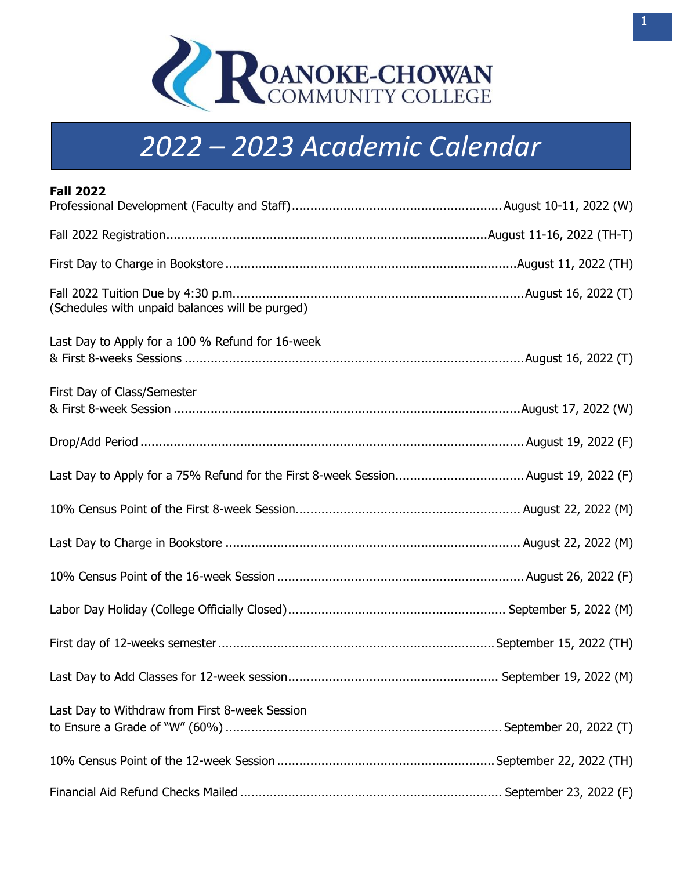

## **2022-2023 Academic Calendar** *2022 – 2023 Academic Calendar*

| <b>Fall 2022</b>                                 |  |
|--------------------------------------------------|--|
|                                                  |  |
|                                                  |  |
|                                                  |  |
| (Schedules with unpaid balances will be purged)  |  |
| Last Day to Apply for a 100 % Refund for 16-week |  |
| First Day of Class/Semester                      |  |
|                                                  |  |
|                                                  |  |
|                                                  |  |
|                                                  |  |
|                                                  |  |
|                                                  |  |
|                                                  |  |
|                                                  |  |
| Last Day to Withdraw from First 8-week Session   |  |
|                                                  |  |
|                                                  |  |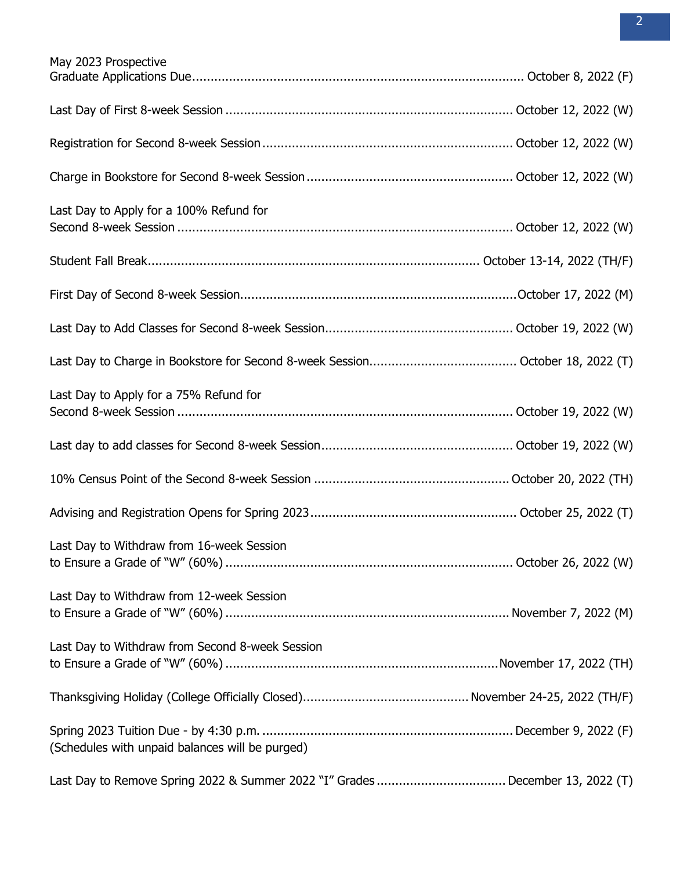| May 2023 Prospective                            |  |
|-------------------------------------------------|--|
|                                                 |  |
|                                                 |  |
|                                                 |  |
| Last Day to Apply for a 100% Refund for         |  |
|                                                 |  |
|                                                 |  |
|                                                 |  |
|                                                 |  |
| Last Day to Apply for a 75% Refund for          |  |
|                                                 |  |
|                                                 |  |
|                                                 |  |
| Last Day to Withdraw from 16-week Session       |  |
| Last Day to Withdraw from 12-week Session       |  |
| Last Day to Withdraw from Second 8-week Session |  |
|                                                 |  |
| (Schedules with unpaid balances will be purged) |  |
|                                                 |  |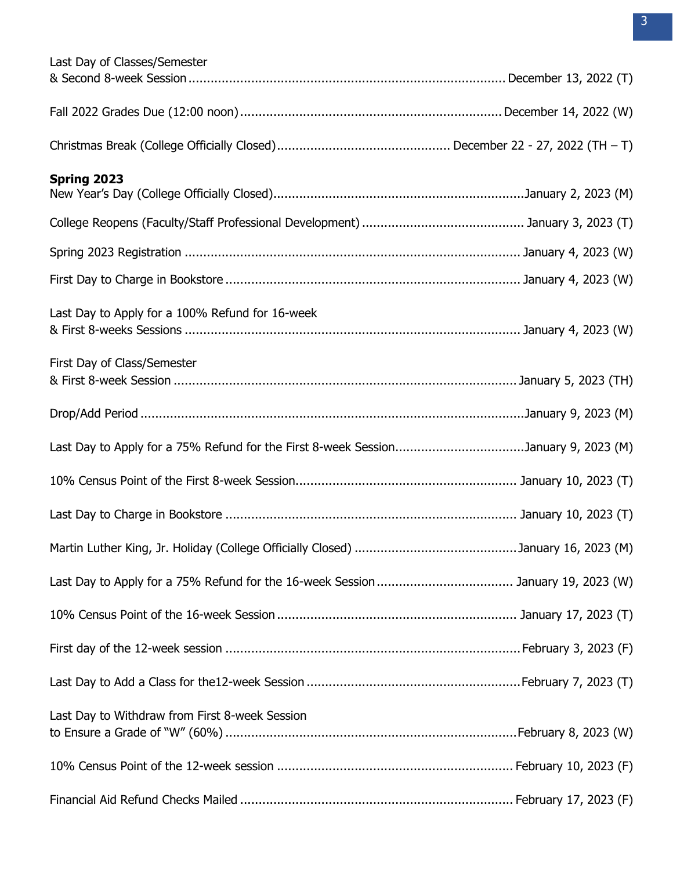| Last Day of Classes/Semester                                                       |  |
|------------------------------------------------------------------------------------|--|
|                                                                                    |  |
|                                                                                    |  |
|                                                                                    |  |
| Spring 2023                                                                        |  |
|                                                                                    |  |
|                                                                                    |  |
|                                                                                    |  |
|                                                                                    |  |
| Last Day to Apply for a 100% Refund for 16-week                                    |  |
|                                                                                    |  |
| First Day of Class/Semester                                                        |  |
|                                                                                    |  |
|                                                                                    |  |
| Last Day to Apply for a 75% Refund for the First 8-week SessionJanuary 9, 2023 (M) |  |
|                                                                                    |  |
|                                                                                    |  |
|                                                                                    |  |
|                                                                                    |  |
|                                                                                    |  |
|                                                                                    |  |
|                                                                                    |  |
| Last Day to Withdraw from First 8-week Session                                     |  |
|                                                                                    |  |
|                                                                                    |  |
|                                                                                    |  |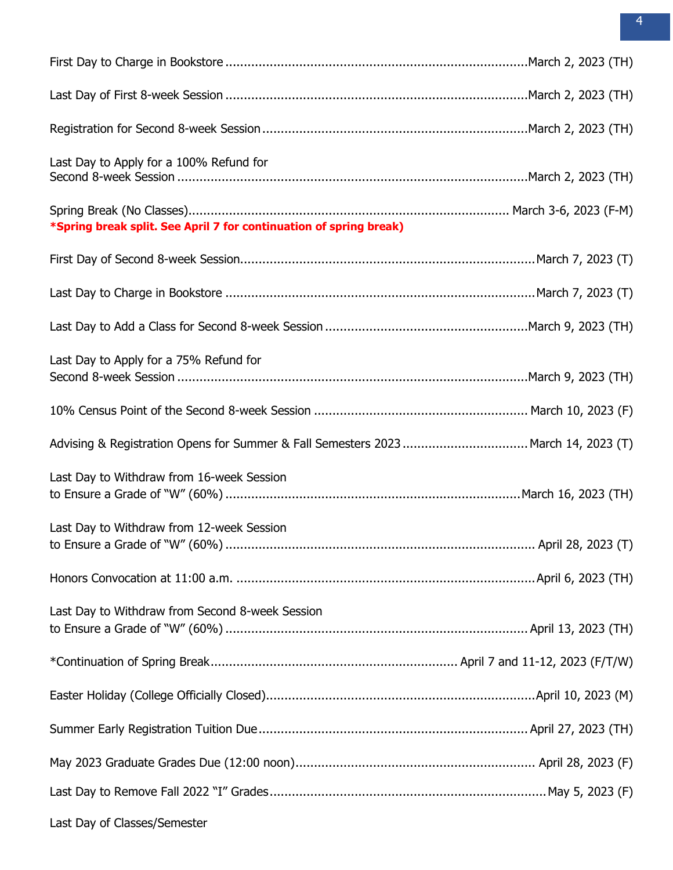| Last Day to Apply for a 100% Refund for                                           |  |
|-----------------------------------------------------------------------------------|--|
| *Spring break split. See April 7 for continuation of spring break)                |  |
|                                                                                   |  |
|                                                                                   |  |
|                                                                                   |  |
| Last Day to Apply for a 75% Refund for                                            |  |
|                                                                                   |  |
| Advising & Registration Opens for Summer & Fall Semesters 2023 March 14, 2023 (T) |  |
| Last Day to Withdraw from 16-week Session                                         |  |
| Last Day to Withdraw from 12-week Session                                         |  |
|                                                                                   |  |
| Last Day to Withdraw from Second 8-week Session                                   |  |
|                                                                                   |  |
|                                                                                   |  |
|                                                                                   |  |
|                                                                                   |  |
|                                                                                   |  |
|                                                                                   |  |